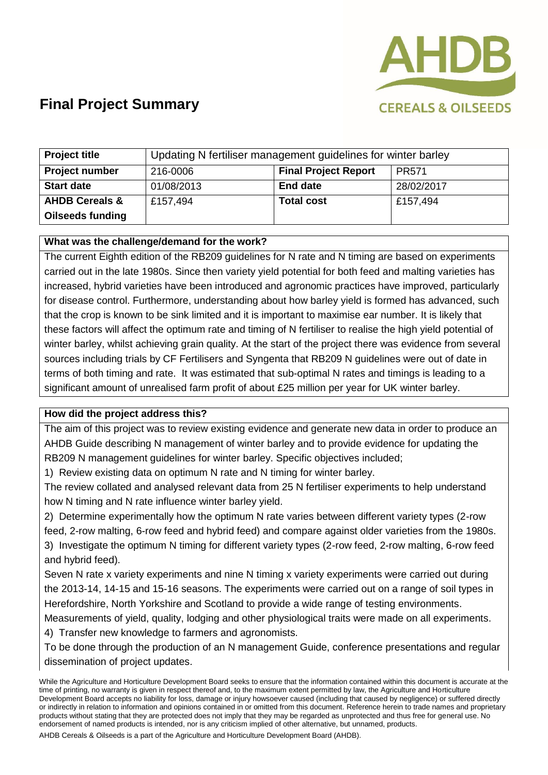

## **Final Project Summary**

| <b>Project title</b>      | Updating N fertiliser management guidelines for winter barley |                             |              |
|---------------------------|---------------------------------------------------------------|-----------------------------|--------------|
| <b>Project number</b>     | 216-0006                                                      | <b>Final Project Report</b> | <b>PR571</b> |
| <b>Start date</b>         | 01/08/2013                                                    | <b>End date</b>             | 28/02/2017   |
| <b>AHDB Cereals &amp;</b> | £157,494                                                      | <b>Total cost</b>           | £157,494     |
| <b>Oilseeds funding</b>   |                                                               |                             |              |

## **What was the challenge/demand for the work?**

The current Eighth edition of the RB209 guidelines for N rate and N timing are based on experiments carried out in the late 1980s. Since then variety yield potential for both feed and malting varieties has increased, hybrid varieties have been introduced and agronomic practices have improved, particularly for disease control. Furthermore, understanding about how barley yield is formed has advanced, such that the crop is known to be sink limited and it is important to maximise ear number. It is likely that these factors will affect the optimum rate and timing of N fertiliser to realise the high yield potential of winter barley, whilst achieving grain quality. At the start of the project there was evidence from several sources including trials by CF Fertilisers and Syngenta that RB209 N guidelines were out of date in terms of both timing and rate. It was estimated that sub-optimal N rates and timings is leading to a significant amount of unrealised farm profit of about £25 million per year for UK winter barley.

#### **How did the project address this?**

The aim of this project was to review existing evidence and generate new data in order to produce an AHDB Guide describing N management of winter barley and to provide evidence for updating the RB209 N management guidelines for winter barley. Specific objectives included;

1) Review existing data on optimum N rate and N timing for winter barley.

The review collated and analysed relevant data from 25 N fertiliser experiments to help understand how N timing and N rate influence winter barley yield.

2) Determine experimentally how the optimum N rate varies between different variety types (2-row feed, 2-row malting, 6-row feed and hybrid feed) and compare against older varieties from the 1980s. 3) Investigate the optimum N timing for different variety types (2-row feed, 2-row malting, 6-row feed and hybrid feed).

Seven N rate x variety experiments and nine N timing x variety experiments were carried out during the 2013-14, 14-15 and 15-16 seasons. The experiments were carried out on a range of soil types in Herefordshire, North Yorkshire and Scotland to provide a wide range of testing environments.

Measurements of yield, quality, lodging and other physiological traits were made on all experiments.

4) Transfer new knowledge to farmers and agronomists.

To be done through the production of an N management Guide, conference presentations and regular dissemination of project updates.

AHDB Cereals & Oilseeds is a part of the Agriculture and Horticulture Development Board (AHDB).

While the Agriculture and Horticulture Development Board seeks to ensure that the information contained within this document is accurate at the time of printing, no warranty is given in respect thereof and, to the maximum extent permitted by law, the Agriculture and Horticulture Development Board accepts no liability for loss, damage or injury howsoever caused (including that caused by negligence) or suffered directly or indirectly in relation to information and opinions contained in or omitted from this document. Reference herein to trade names and proprietary products without stating that they are protected does not imply that they may be regarded as unprotected and thus free for general use. No endorsement of named products is intended, nor is any criticism implied of other alternative, but unnamed, products.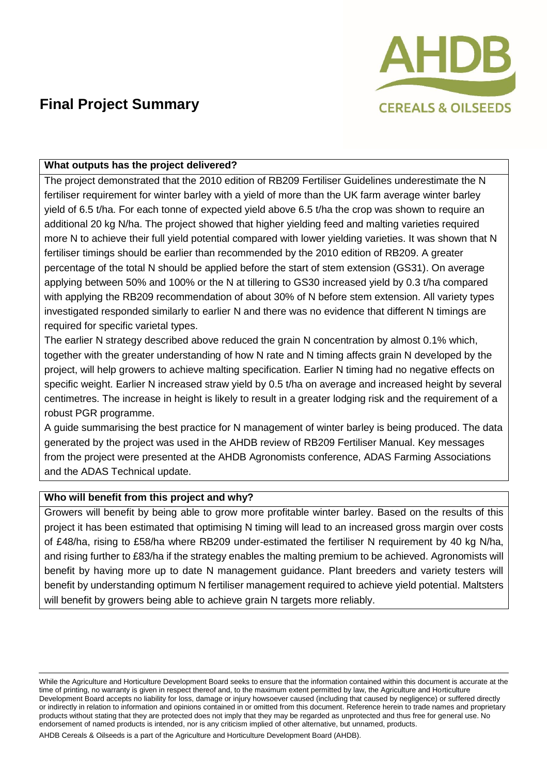

# **Final Project Summary**

### **What outputs has the project delivered?**

The project demonstrated that the 2010 edition of RB209 Fertiliser Guidelines underestimate the N fertiliser requirement for winter barley with a yield of more than the UK farm average winter barley yield of 6.5 t/ha. For each tonne of expected yield above 6.5 t/ha the crop was shown to require an additional 20 kg N/ha. The project showed that higher yielding feed and malting varieties required more N to achieve their full yield potential compared with lower yielding varieties. It was shown that N fertiliser timings should be earlier than recommended by the 2010 edition of RB209. A greater percentage of the total N should be applied before the start of stem extension (GS31). On average applying between 50% and 100% or the N at tillering to GS30 increased yield by 0.3 t/ha compared with applying the RB209 recommendation of about 30% of N before stem extension. All variety types investigated responded similarly to earlier N and there was no evidence that different N timings are required for specific varietal types.

The earlier N strategy described above reduced the grain N concentration by almost 0.1% which, together with the greater understanding of how N rate and N timing affects grain N developed by the project, will help growers to achieve malting specification. Earlier N timing had no negative effects on specific weight. Earlier N increased straw yield by 0.5 t/ha on average and increased height by several centimetres. The increase in height is likely to result in a greater lodging risk and the requirement of a robust PGR programme.

A guide summarising the best practice for N management of winter barley is being produced. The data generated by the project was used in the AHDB review of RB209 Fertiliser Manual. Key messages from the project were presented at the AHDB Agronomists conference, ADAS Farming Associations and the ADAS Technical update.

#### **Who will benefit from this project and why?**

Growers will benefit by being able to grow more profitable winter barley. Based on the results of this project it has been estimated that optimising N timing will lead to an increased gross margin over costs of £48/ha, rising to £58/ha where RB209 under-estimated the fertiliser N requirement by 40 kg N/ha, and rising further to £83/ha if the strategy enables the malting premium to be achieved. Agronomists will benefit by having more up to date N management guidance. Plant breeders and variety testers will benefit by understanding optimum N fertiliser management required to achieve yield potential. Maltsters will benefit by growers being able to achieve grain N targets more reliably.

While the Agriculture and Horticulture Development Board seeks to ensure that the information contained within this document is accurate at the time of printing, no warranty is given in respect thereof and, to the maximum extent permitted by law, the Agriculture and Horticulture Development Board accepts no liability for loss, damage or injury howsoever caused (including that caused by negligence) or suffered directly or indirectly in relation to information and opinions contained in or omitted from this document. Reference herein to trade names and proprietary products without stating that they are protected does not imply that they may be regarded as unprotected and thus free for general use. No endorsement of named products is intended, nor is any criticism implied of other alternative, but unnamed, products.

AHDB Cereals & Oilseeds is a part of the Agriculture and Horticulture Development Board (AHDB).